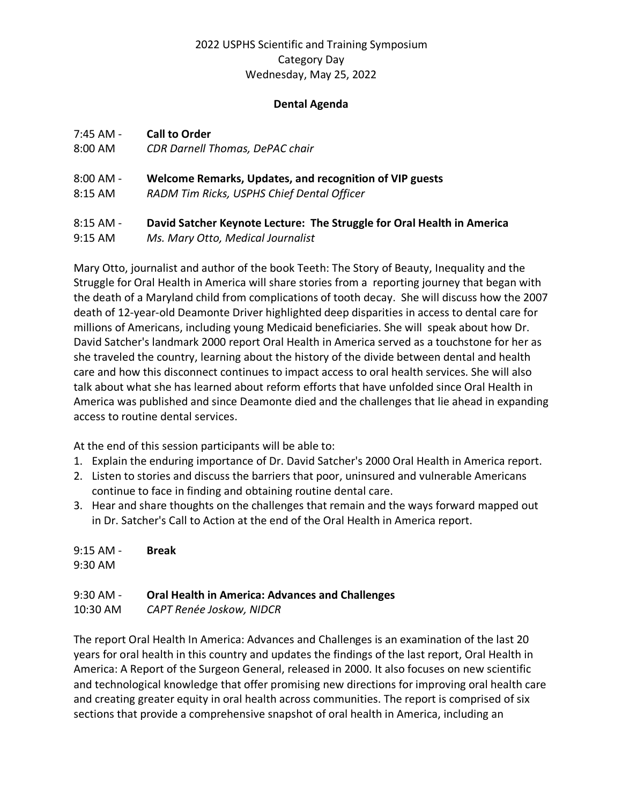### 2022 USPHS Scientific and Training Symposium Category Day Wednesday, May 25, 2022

#### **Dental Agenda**

#### 7:45 AM - **Call to Order**

8:00 AM *CDR Darnell Thomas, DePAC chair* 

# 8:00 AM - **Welcome Remarks, Updates, and recognition of VIP guests**

8:15 AM *RADM Tim Ricks, USPHS Chief Dental Officer* 

# 8:15 AM - **David Satcher Keynote Lecture: The Struggle for Oral Health in America**

9:15 AM *Ms. Mary Otto, Medical Journalist* 

Mary Otto, journalist and author of the book Teeth: The Story of Beauty, Inequality and the Struggle for Oral Health in America will share stories from a reporting journey that began with the death of a Maryland child from complications of tooth decay. She will discuss how the 2007 death of 12-year-old Deamonte Driver highlighted deep disparities in access to dental care for millions of Americans, including young Medicaid beneficiaries. She will speak about how Dr. David Satcher's landmark 2000 report Oral Health in America served as a touchstone for her as she traveled the country, learning about the history of the divide between dental and health care and how this disconnect continues to impact access to oral health services. She will also talk about what she has learned about reform efforts that have unfolded since Oral Health in America was published and since Deamonte died and the challenges that lie ahead in expanding access to routine dental services.

At the end of this session participants will be able to:

- 1. Explain the enduring importance of Dr. David Satcher's 2000 Oral Health in America report.
- 2. Listen to stories and discuss the barriers that poor, uninsured and vulnerable Americans continue to face in finding and obtaining routine dental care.
- 3. Hear and share thoughts on the challenges that remain and the ways forward mapped out in Dr. Satcher's Call to Action at the end of the Oral Health in America report.

| $9:15$ AM - | <b>Break</b>      |
|-------------|-------------------|
| $9:30$ AM   |                   |
| 0.20AA      | $\bigcap_{i=1}^n$ |

#### 9:30 AM - **Oral Health in America: Advances and Challenges**

10:30 AM *CAPT Renée Joskow, NIDCR* 

The report Oral Health In America: Advances and Challenges is an examination of the last 20 years for oral health in this country and updates the findings of the last report, Oral Health in America: A Report of the Surgeon General, released in 2000. It also focuses on new scientific and technological knowledge that offer promising new directions for improving oral health care and creating greater equity in oral health across communities. The report is comprised of six sections that provide a comprehensive snapshot of oral health in America, including an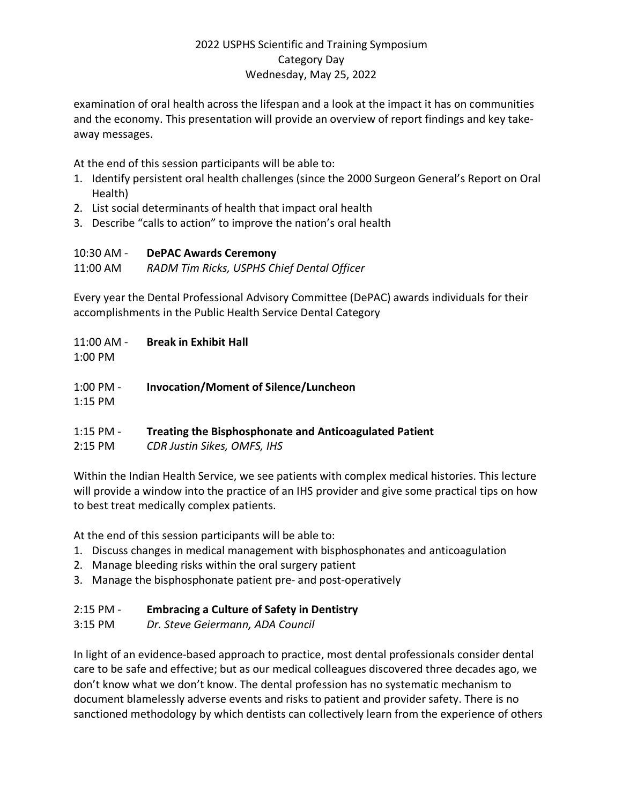## 2022 USPHS Scientific and Training Symposium Category Day Wednesday, May 25, 2022

examination of oral health across the lifespan and a look at the impact it has on communities and the economy. This presentation will provide an overview of report findings and key takeaway messages.

At the end of this session participants will be able to:

- 1. Identify persistent oral health challenges (since the 2000 Surgeon General's Report on Oral Health)
- 2. List social determinants of health that impact oral health
- 3. Describe "calls to action" to improve the nation's oral health

#### 10:30 AM - **DePAC Awards Ceremony**

11:00 AM *RADM Tim Ricks, USPHS Chief Dental Officer* 

Every year the Dental Professional Advisory Committee (DePAC) awards individuals for their accomplishments in the Public Health Service Dental Category

11:00 AM - **Break in Exhibit Hall**

1:00 PM

1:00 PM - **Invocation/Moment of Silence/Luncheon**

1:15 PM

- 1:15 PM **Treating the Bisphosphonate and Anticoagulated Patient**
- 2:15 PM *CDR Justin Sikes, OMFS, IHS*

Within the Indian Health Service, we see patients with complex medical histories. This lecture will provide a window into the practice of an IHS provider and give some practical tips on how to best treat medically complex patients.

At the end of this session participants will be able to:

- 1. Discuss changes in medical management with bisphosphonates and anticoagulation
- 2. Manage bleeding risks within the oral surgery patient
- 3. Manage the bisphosphonate patient pre- and post-operatively

## 2:15 PM - **Embracing a Culture of Safety in Dentistry**

3:15 PM *Dr. Steve Geiermann, ADA Council* 

In light of an evidence-based approach to practice, most dental professionals consider dental care to be safe and effective; but as our medical colleagues discovered three decades ago, we don't know what we don't know. The dental profession has no systematic mechanism to document blamelessly adverse events and risks to patient and provider safety. There is no sanctioned methodology by which dentists can collectively learn from the experience of others